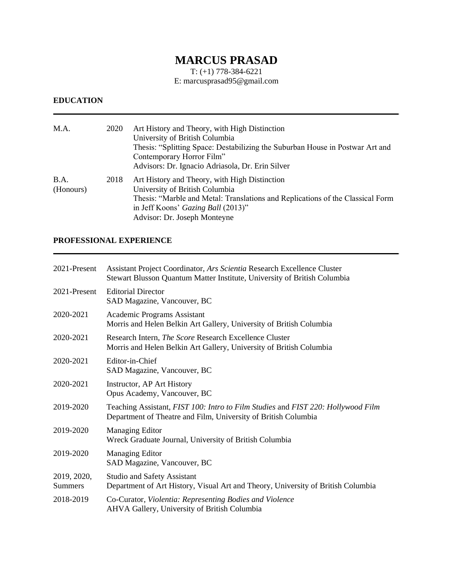# **MARCUS PRASAD**

T: (+1) 778-384-6221 E: marcusprasad95@gmail.com

#### **EDUCATION**

| M.A.              | 2020 | Art History and Theory, with High Distinction<br>University of British Columbia<br>Thesis: "Splitting Space: Destabilizing the Suburban House in Postwar Art and<br>Contemporary Horror Film"<br>Advisors: Dr. Ignacio Adriasola, Dr. Erin Silver |
|-------------------|------|---------------------------------------------------------------------------------------------------------------------------------------------------------------------------------------------------------------------------------------------------|
| B.A.<br>(Honours) | 2018 | Art History and Theory, with High Distinction<br>University of British Columbia<br>Thesis: "Marble and Metal: Translations and Replications of the Classical Form<br>in Jeff Koons' Gazing Ball (2013)"<br>Advisor: Dr. Joseph Monteyne           |

### **PROFESSIONAL EXPERIENCE**

| 2021-Present                  | Assistant Project Coordinator, Ars Scientia Research Excellence Cluster<br>Stewart Blusson Quantum Matter Institute, University of British Columbia |
|-------------------------------|-----------------------------------------------------------------------------------------------------------------------------------------------------|
| 2021-Present                  | <b>Editorial Director</b><br>SAD Magazine, Vancouver, BC                                                                                            |
| 2020-2021                     | Academic Programs Assistant<br>Morris and Helen Belkin Art Gallery, University of British Columbia                                                  |
| 2020-2021                     | Research Intern, <i>The Score</i> Research Excellence Cluster<br>Morris and Helen Belkin Art Gallery, University of British Columbia                |
| 2020-2021                     | Editor-in-Chief<br>SAD Magazine, Vancouver, BC                                                                                                      |
| 2020-2021                     | Instructor, AP Art History<br>Opus Academy, Vancouver, BC                                                                                           |
| 2019-2020                     | Teaching Assistant, FIST 100: Intro to Film Studies and FIST 220: Hollywood Film<br>Department of Theatre and Film, University of British Columbia  |
| 2019-2020                     | <b>Managing Editor</b><br>Wreck Graduate Journal, University of British Columbia                                                                    |
| 2019-2020                     | <b>Managing Editor</b><br>SAD Magazine, Vancouver, BC                                                                                               |
| 2019, 2020,<br><b>Summers</b> | <b>Studio and Safety Assistant</b><br>Department of Art History, Visual Art and Theory, University of British Columbia                              |
| 2018-2019                     | Co-Curator, Violentia: Representing Bodies and Violence<br>AHVA Gallery, University of British Columbia                                             |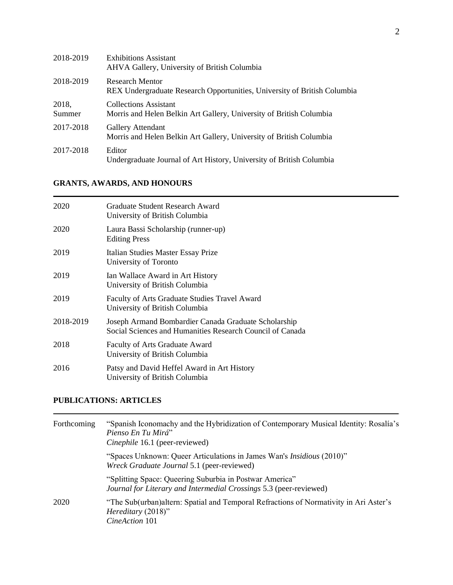| 2018-2019       | <b>Exhibitions Assistant</b><br>AHVA Gallery, University of British Columbia                        |
|-----------------|-----------------------------------------------------------------------------------------------------|
| 2018-2019       | <b>Research Mentor</b><br>REX Undergraduate Research Opportunities, University of British Columbia  |
| 2018,<br>Summer | <b>Collections Assistant</b><br>Morris and Helen Belkin Art Gallery, University of British Columbia |
| 2017-2018       | Gallery Attendant<br>Morris and Helen Belkin Art Gallery, University of British Columbia            |
| 2017-2018       | Editor<br>Undergraduate Journal of Art History, University of British Columbia                      |

## **GRANTS, AWARDS, AND HONOURS**

| 2020      | Graduate Student Research Award<br>University of British Columbia                                                 |
|-----------|-------------------------------------------------------------------------------------------------------------------|
| 2020      | Laura Bassi Scholarship (runner-up)<br><b>Editing Press</b>                                                       |
| 2019      | Italian Studies Master Essay Prize<br>University of Toronto                                                       |
| 2019      | Ian Wallace Award in Art History<br>University of British Columbia                                                |
| 2019      | Faculty of Arts Graduate Studies Travel Award<br>University of British Columbia                                   |
| 2018-2019 | Joseph Armand Bombardier Canada Graduate Scholarship<br>Social Sciences and Humanities Research Council of Canada |
| 2018      | Faculty of Arts Graduate Award<br>University of British Columbia                                                  |
| 2016      | Patsy and David Heffel Award in Art History<br>University of British Columbia                                     |

#### **PUBLICATIONS: ARTICLES**

| Forthcoming | "Spanish Iconomachy and the Hybridization of Contemporary Musical Identity: Rosalía's<br>Pienso En Tu Mirá"<br>Cinephile 16.1 (peer-reviewed) |  |
|-------------|-----------------------------------------------------------------------------------------------------------------------------------------------|--|
|             | "Spaces Unknown: Queer Articulations in James Wan's <i>Insidious</i> (2010)"<br>Wreck Graduate Journal 5.1 (peer-reviewed)                    |  |
|             | "Splitting Space: Queering Suburbia in Postwar America"<br>Journal for Literary and Intermedial Crossings 5.3 (peer-reviewed)                 |  |
| 2020        | "The Sub(urban) altern: Spatial and Temporal Refractions of Normativity in Ari Aster's<br>Hereditary (2018)"<br>CineAction 101                |  |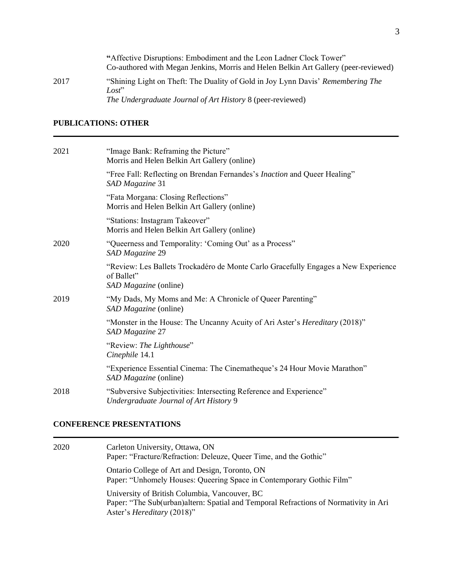|      | "Affective Disruptions: Embodiment and the Leon Ladner Clock Tower"<br>Co-authored with Megan Jenkins, Morris and Helen Belkin Art Gallery (peer-reviewed) |
|------|------------------------------------------------------------------------------------------------------------------------------------------------------------|
| 2017 | "Shining Light on Theft: The Duality of Gold in Joy Lynn Davis' Remembering The<br>Lost                                                                    |
|      | The Undergraduate Journal of Art History 8 (peer-reviewed)                                                                                                 |

## **PUBLICATIONS: OTHER**

| "Image Bank: Reframing the Picture"<br>Morris and Helen Belkin Art Gallery (online)                                       |
|---------------------------------------------------------------------------------------------------------------------------|
| "Free Fall: Reflecting on Brendan Fernandes's Inaction and Queer Healing"<br>SAD Magazine 31                              |
| "Fata Morgana: Closing Reflections"<br>Morris and Helen Belkin Art Gallery (online)                                       |
| "Stations: Instagram Takeover"<br>Morris and Helen Belkin Art Gallery (online)                                            |
| "Queerness and Temporality: 'Coming Out' as a Process"<br>SAD Magazine 29                                                 |
| "Review: Les Ballets Trockadéro de Monte Carlo Gracefully Engages a New Experience<br>of Ballet"<br>SAD Magazine (online) |
| "My Dads, My Moms and Me: A Chronicle of Queer Parenting"<br>SAD Magazine (online)                                        |
| "Monster in the House: The Uncanny Acuity of Ari Aster's <i>Hereditary</i> (2018)"<br>SAD Magazine 27                     |
| "Review: The Lighthouse"<br>Cinephile 14.1                                                                                |
| "Experience Essential Cinema: The Cinematheque's 24 Hour Movie Marathon"<br>SAD Magazine (online)                         |
| "Subversive Subjectivities: Intersecting Reference and Experience"<br>Undergraduate Journal of Art History 9              |
|                                                                                                                           |

#### **CONFERENCE PRESENTATIONS**

| 2020 | Carleton University, Ottawa, ON<br>Paper: "Fracture/Refraction: Deleuze, Queer Time, and the Gothic"                                                                        |
|------|-----------------------------------------------------------------------------------------------------------------------------------------------------------------------------|
|      | Ontario College of Art and Design, Toronto, ON<br>Paper: "Unhomely Houses: Queering Space in Contemporary Gothic Film"                                                      |
|      | University of British Columbia, Vancouver, BC<br>Paper: "The Sub(urban) altern: Spatial and Temporal Refractions of Normativity in Ari<br>Aster's <i>Hereditary</i> (2018)" |